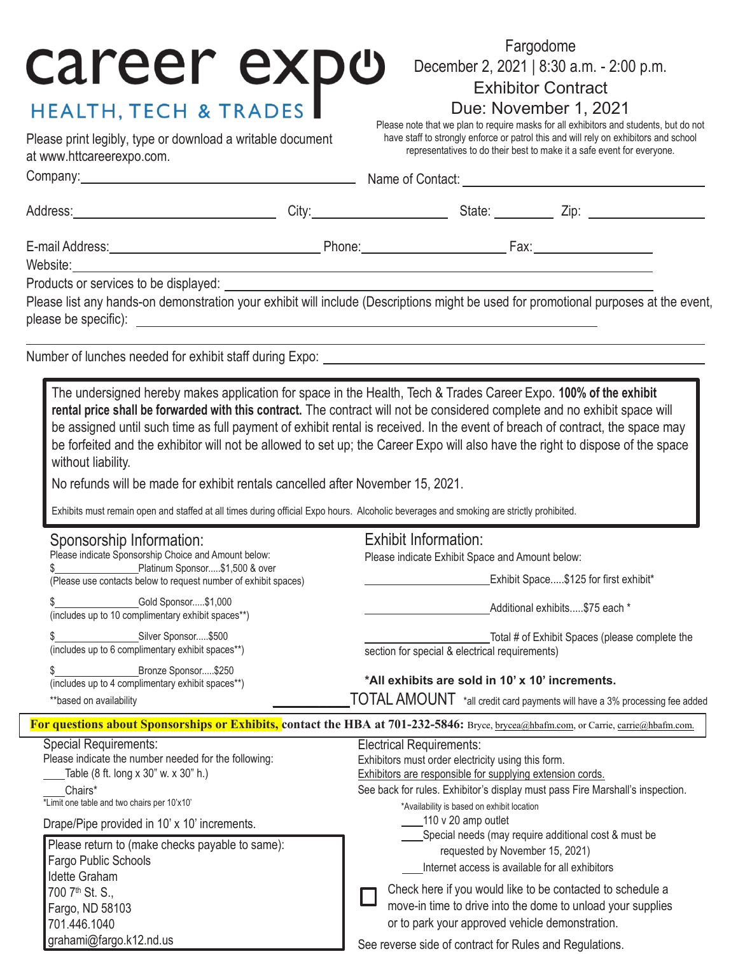# Fargodome<br>
Please note that we plan to require masks for all exhibitors and students, but do not<br>
Please note that we plan to require masks for all exhibitors and students, but do not

Please print legibly, type or download a writable document at [www.httcareerexpo.com.](http://www.httcareerexpo.com/)

Fargodome December 2, 2021 | 8:30 a.m. - 2:00 p.m. Exhibitor Contract

## Due: November 1, 2021

have staff to strongly enforce or patrol this and will rely on exhibitors and school representatives to do their best to make it a safe event for everyone.

| Please list any hands-on demonstration your exhibit will include (Descriptions might be used for promotional purposes at the event,                                                                                                                                                                                                                                                                                                                                                                                                                                                                                                                                                                                                                                 |  |                                                                                                                                                                                                                                                                                                                                                                  |                                                                                  |  |  |
|---------------------------------------------------------------------------------------------------------------------------------------------------------------------------------------------------------------------------------------------------------------------------------------------------------------------------------------------------------------------------------------------------------------------------------------------------------------------------------------------------------------------------------------------------------------------------------------------------------------------------------------------------------------------------------------------------------------------------------------------------------------------|--|------------------------------------------------------------------------------------------------------------------------------------------------------------------------------------------------------------------------------------------------------------------------------------------------------------------------------------------------------------------|----------------------------------------------------------------------------------|--|--|
| Number of lunches needed for exhibit staff during Expo: \\esp \\esp \\esp \\esp \\esp \\esp \\esp \\esp \\esp \\esp \\esp \\esp \\esp \\esp \\esp \\esp \\esp \\esp \\esp \\esp \\esp \\esp \\esp \\esp \\esp \\esp \\esp \\es                                                                                                                                                                                                                                                                                                                                                                                                                                                                                                                                      |  |                                                                                                                                                                                                                                                                                                                                                                  |                                                                                  |  |  |
| The undersigned hereby makes application for space in the Health, Tech & Trades Career Expo. 100% of the exhibit<br>rental price shall be forwarded with this contract. The contract will not be considered complete and no exhibit space will<br>be assigned until such time as full payment of exhibit rental is received. In the event of breach of contract, the space may<br>be forfeited and the exhibitor will not be allowed to set up; the Career Expo will also have the right to dispose of the space<br>without liability.<br>No refunds will be made for exhibit rentals cancelled after November 15, 2021.<br>Exhibits must remain open and staffed at all times during official Expo hours. Alcoholic beverages and smoking are strictly prohibited. |  |                                                                                                                                                                                                                                                                                                                                                                  |                                                                                  |  |  |
| Sponsorship Information:<br>Please indicate Sponsorship Choice and Amount below:<br>Platinum Sponsor\$1,500 & over<br>(Please use contacts below to request number of exhibit spaces)                                                                                                                                                                                                                                                                                                                                                                                                                                                                                                                                                                               |  | <b>Exhibit Information:</b><br>Please indicate Exhibit Space and Amount below:<br>Exhibit Space\$125 for first exhibit*                                                                                                                                                                                                                                          |                                                                                  |  |  |
| (includes up to 10 complimentary exhibit spaces**)<br>Silver Sponsor\$500                                                                                                                                                                                                                                                                                                                                                                                                                                                                                                                                                                                                                                                                                           |  |                                                                                                                                                                                                                                                                                                                                                                  | Additional exhibits\$75 each *<br>Total # of Exhibit Spaces (please complete the |  |  |
| (includes up to 6 complimentary exhibit spaces**)<br>\$ ________________Bronze Sponsor\$250<br>(includes up to 4 complimentary exhibit spaces**)<br>** based on availability                                                                                                                                                                                                                                                                                                                                                                                                                                                                                                                                                                                        |  | section for special & electrical requirements)<br>*All exhibits are sold in 10' x 10' increments.<br>$\mathop{\hbox{TOTAL}}\nolimits$ AMOUNT $\,$ *all credit card payments will have a 3% processing fee added                                                                                                                                                  |                                                                                  |  |  |
| For questions about Sponsorships or Exhibits, contact the HBA at 701-232-5846: Bryce, brycea@hbafm.com, or Carrie, carrie@hbafm.com.                                                                                                                                                                                                                                                                                                                                                                                                                                                                                                                                                                                                                                |  |                                                                                                                                                                                                                                                                                                                                                                  |                                                                                  |  |  |
| <b>Special Requirements:</b><br>Please indicate the number needed for the following:<br>Table (8 ft. long x 30" w. x 30" h.)<br>Chairs*<br>*Limit one table and two chairs per 10'x10'<br>Drape/Pipe provided in 10' x 10' increments.                                                                                                                                                                                                                                                                                                                                                                                                                                                                                                                              |  | <b>Electrical Requirements:</b><br>Exhibitors must order electricity using this form.<br>Exhibitors are responsible for supplying extension cords.<br>See back for rules. Exhibitor's display must pass Fire Marshall's inspection.<br>*Availability is based on exhibit location<br>110 v 20 amp outlet<br>Special needs (may require additional cost & must be |                                                                                  |  |  |
| Please return to (make checks payable to same):<br>Fargo Public Schools<br>Idette Graham<br>700 7 <sup>th</sup> St. S.,<br>Fargo, ND 58103                                                                                                                                                                                                                                                                                                                                                                                                                                                                                                                                                                                                                          |  | requested by November 15, 2021)<br>Internet access is available for all exhibitors<br>Check here if you would like to be contacted to schedule a<br>move-in time to drive into the dome to unload your supplies                                                                                                                                                  |                                                                                  |  |  |
| 701.446.1040<br>grahami@fargo.k12.nd.us                                                                                                                                                                                                                                                                                                                                                                                                                                                                                                                                                                                                                                                                                                                             |  | or to park your approved vehicle demonstration.<br>See reverse side of contract for Rules and Regulations.                                                                                                                                                                                                                                                       |                                                                                  |  |  |